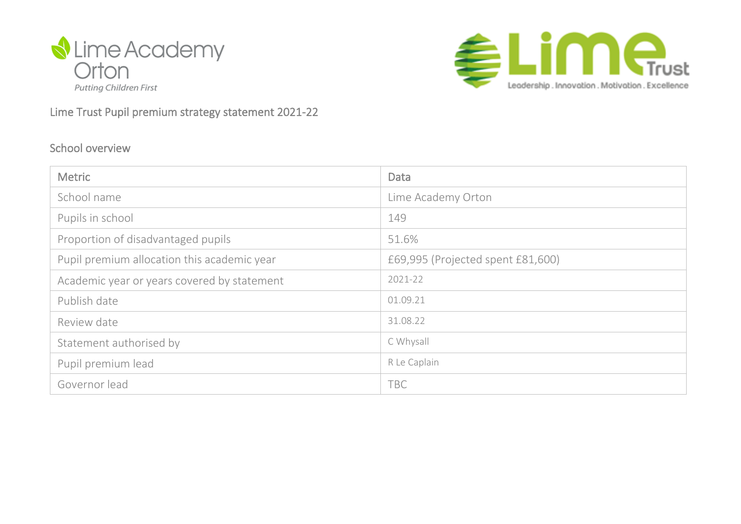



#### Lime Trust Pupil premium strategy statement 2021-22

#### School overview

| <b>Metric</b>                               | <b>Data</b>                       |
|---------------------------------------------|-----------------------------------|
| School name                                 | Lime Academy Orton                |
| Pupils in school                            | 149                               |
| Proportion of disadvantaged pupils          | 51.6%                             |
| Pupil premium allocation this academic year | £69,995 (Projected spent £81,600) |
| Academic year or years covered by statement | 2021-22                           |
| Publish date                                | 01.09.21                          |
| Review date                                 | 31.08.22                          |
| Statement authorised by                     | C Whysall                         |
| Pupil premium lead                          | R Le Caplain                      |
| Governor lead                               | <b>TBC</b>                        |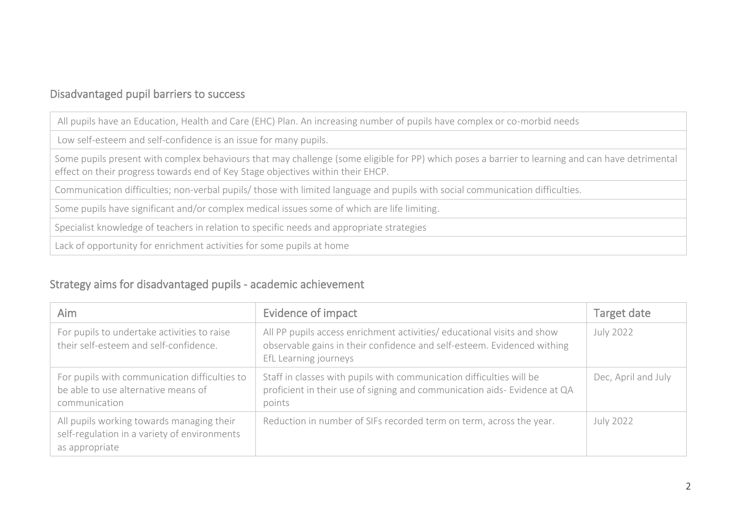### Disadvantaged pupil barriers to success

All pupils have an Education, Health and Care (EHC) Plan. An increasing number of pupils have complex or co-morbid needs

Low self-esteem and self-confidence is an issue for many pupils.

Some pupils present with complex behaviours that may challenge (some eligible for PP) which poses a barrier to learning and can have detrimental effect on their progress towards end of Key Stage objectives within their EHCP.

Communication difficulties; non-verbal pupils/ those with limited language and pupils with social communication difficulties.

Some pupils have significant and/or complex medical issues some of which are life limiting.

Specialist knowledge of teachers in relation to specific needs and appropriate strategies

Lack of opportunity for enrichment activities for some pupils at home

### Strategy aims for disadvantaged pupils - academic achievement

| Aim                                                                                                         | Evidence of impact                                                                                                                                                          | Target date         |
|-------------------------------------------------------------------------------------------------------------|-----------------------------------------------------------------------------------------------------------------------------------------------------------------------------|---------------------|
| For pupils to undertake activities to raise<br>their self-esteem and self-confidence.                       | All PP pupils access enrichment activities/ educational visits and show<br>observable gains in their confidence and self-esteem. Evidenced withing<br>EfL Learning journeys | July 2022           |
| For pupils with communication difficulties to<br>be able to use alternative means of<br>communication       | Staff in classes with pupils with communication difficulties will be<br>proficient in their use of signing and communication aids- Evidence at QA<br>points                 | Dec, April and July |
| All pupils working towards managing their<br>self-regulation in a variety of environments<br>as appropriate | Reduction in number of SIFs recorded term on term, across the year.                                                                                                         | July 2022           |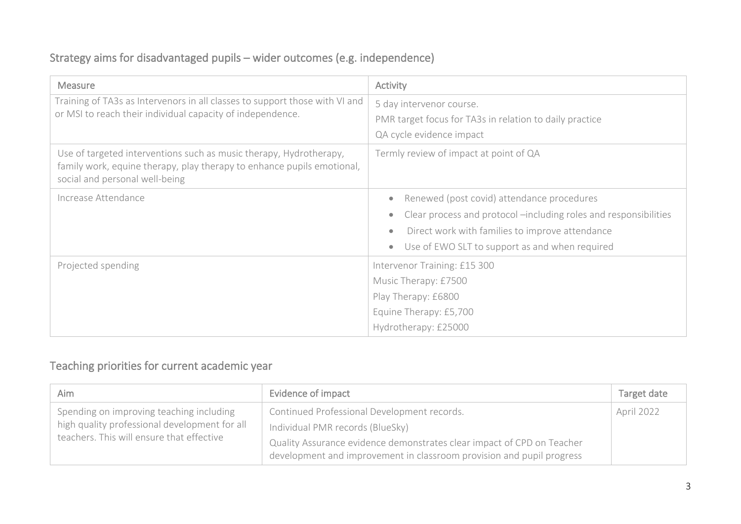### Strategy aims for disadvantaged pupils – wider outcomes (e.g. independence)

| <b>Measure</b>                                                                                                                                                                 | Activity                                                                                                                                                                                                            |
|--------------------------------------------------------------------------------------------------------------------------------------------------------------------------------|---------------------------------------------------------------------------------------------------------------------------------------------------------------------------------------------------------------------|
| Training of TA3s as Intervenors in all classes to support those with VI and<br>or MSI to reach their individual capacity of independence.                                      | 5 day intervenor course.<br>PMR target focus for TA3s in relation to daily practice<br>QA cycle evidence impact                                                                                                     |
| Use of targeted interventions such as music therapy, Hydrotherapy,<br>family work, equine therapy, play therapy to enhance pupils emotional,<br>social and personal well-being | Termly review of impact at point of QA                                                                                                                                                                              |
| Increase Attendance                                                                                                                                                            | Renewed (post covid) attendance procedures<br>Clear process and protocol -including roles and responsibilities<br>Direct work with families to improve attendance<br>Use of EWO SLT to support as and when required |
| Projected spending                                                                                                                                                             | Intervenor Training: £15 300<br>Music Therapy: £7500<br>Play Therapy: £6800<br>Equine Therapy: £5,700<br>Hydrotherapy: £25000                                                                                       |

### Teaching priorities for current academic year

| Aim                                           | Evidence of impact                                                     | Target date |
|-----------------------------------------------|------------------------------------------------------------------------|-------------|
| Spending on improving teaching including      | Continued Professional Development records.                            | April 2022  |
| high quality professional development for all | Individual PMR records (BlueSky)                                       |             |
| teachers. This will ensure that effective     | Quality Assurance evidence demonstrates clear impact of CPD on Teacher |             |
|                                               | development and improvement in classroom provision and pupil progress  |             |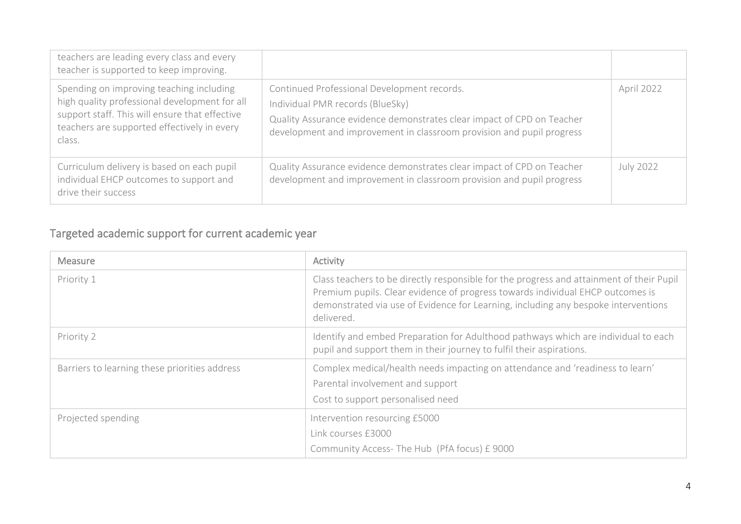| teachers are leading every class and every<br>teacher is supported to keep improving.                                                                                                                |                                                                                                                                                                                                                                    |                  |
|------------------------------------------------------------------------------------------------------------------------------------------------------------------------------------------------------|------------------------------------------------------------------------------------------------------------------------------------------------------------------------------------------------------------------------------------|------------------|
| Spending on improving teaching including<br>high quality professional development for all<br>support staff. This will ensure that effective<br>teachers are supported effectively in every<br>class. | Continued Professional Development records.<br>Individual PMR records (BlueSky)<br>Quality Assurance evidence demonstrates clear impact of CPD on Teacher<br>development and improvement in classroom provision and pupil progress | April 2022       |
| Curriculum delivery is based on each pupil<br>individual EHCP outcomes to support and<br>drive their success                                                                                         | Quality Assurance evidence demonstrates clear impact of CPD on Teacher<br>development and improvement in classroom provision and pupil progress                                                                                    | <b>July 2022</b> |

# Targeted academic support for current academic year

| <b>Measure</b>                                | Activity                                                                                                                                                                                                                                                                       |
|-----------------------------------------------|--------------------------------------------------------------------------------------------------------------------------------------------------------------------------------------------------------------------------------------------------------------------------------|
| Priority 1                                    | Class teachers to be directly responsible for the progress and attainment of their Pupil<br>Premium pupils. Clear evidence of progress towards individual EHCP outcomes is<br>demonstrated via use of Evidence for Learning, including any bespoke interventions<br>delivered. |
| Priority 2                                    | Identify and embed Preparation for Adulthood pathways which are individual to each<br>pupil and support them in their journey to fulfil their aspirations.                                                                                                                     |
| Barriers to learning these priorities address | Complex medical/health needs impacting on attendance and 'readiness to learn'<br>Parental involvement and support<br>Cost to support personalised need                                                                                                                         |
| Projected spending                            | Intervention resourcing £5000<br>Link courses £3000<br>Community Access-The Hub (PfA focus) £9000                                                                                                                                                                              |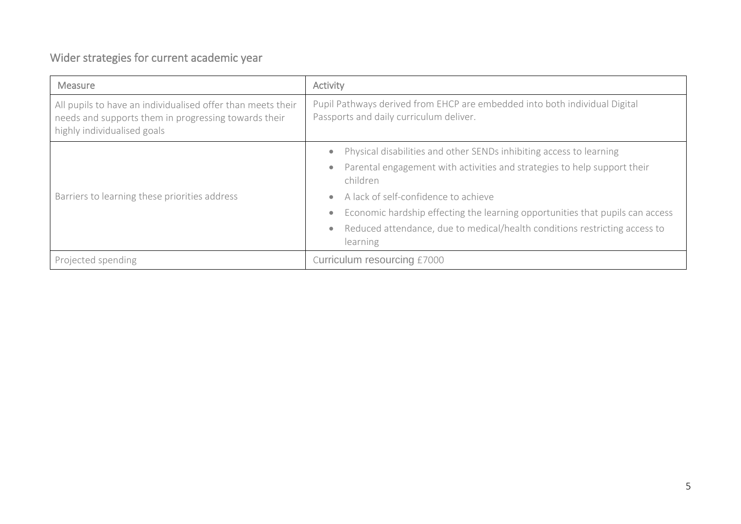# Wider strategies for current academic year

| Pupil Pathways derived from EHCP are embedded into both individual Digital<br>Passports and daily curriculum deliver.                                                                                                                                                                |  |
|--------------------------------------------------------------------------------------------------------------------------------------------------------------------------------------------------------------------------------------------------------------------------------------|--|
| Physical disabilities and other SENDs inhibiting access to learning<br>Parental engagement with activities and strategies to help support their<br>children<br>A lack of self-confidence to achieve<br>Economic hardship effecting the learning opportunities that pupils can access |  |
| Reduced attendance, due to medical/health conditions restricting access to<br>learning                                                                                                                                                                                               |  |
|                                                                                                                                                                                                                                                                                      |  |